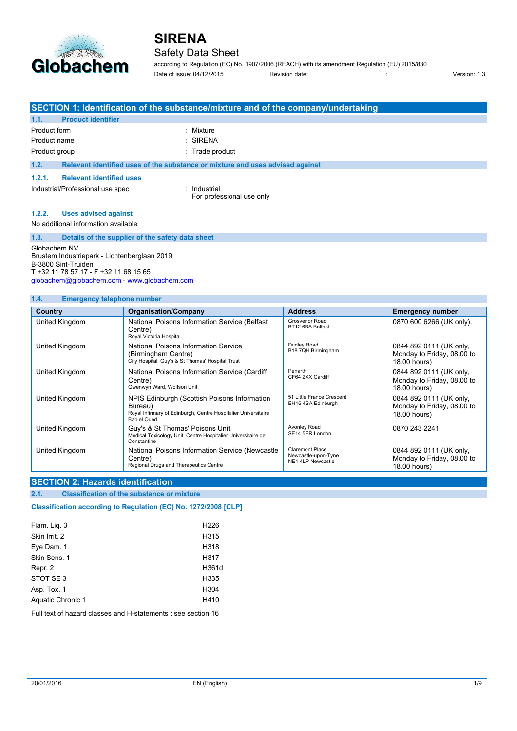

### Safety Data Sheet

according to Regulation (EC) No. 1907/2006 (REACH) with its amendment Regulation (EU) 2015/830 Date of issue: 04/12/2015 Revision date: in the state of issue: 04/12/2015 Revision date: in the state of issue: 04/12/2015

|               |                                                  | SECTION 1: Identification of the substance/mixture and of the company/undertaking |  |
|---------------|--------------------------------------------------|-----------------------------------------------------------------------------------|--|
| 1.1.          | <b>Product identifier</b>                        |                                                                                   |  |
| Product form  |                                                  | : Mixture                                                                         |  |
| Product name  |                                                  | $:$ SIRENA                                                                        |  |
| Product group |                                                  | : Trade product                                                                   |  |
| 1.2.          |                                                  | Relevant identified uses of the substance or mixture and uses advised against     |  |
| 1.2.1.        | <b>Relevant identified uses</b>                  |                                                                                   |  |
|               | Industrial/Professional use spec                 | : Industrial<br>For professional use only                                         |  |
| 1.2.2.        | <b>Uses advised against</b>                      |                                                                                   |  |
|               | No additional information available              |                                                                                   |  |
| 1.3.          | Details of the supplier of the safety data sheet |                                                                                   |  |
|               | Globachem NV                                     |                                                                                   |  |

Globachem NV Brustem Industriepark - Lichtenberglaan 2019 B-3800 Sint-Truiden T +32 11 78 57 17 - F +32 11 68 15 65 [globachem@globachem.com](mailto:globachem@globachem.com) - <www.globachem.com>

#### **1.4. Emergency telephone number**

| Country        | <b>Organisation/Company</b>                                                                                                              | <b>Address</b>                                                     | <b>Emergency number</b>                                               |
|----------------|------------------------------------------------------------------------------------------------------------------------------------------|--------------------------------------------------------------------|-----------------------------------------------------------------------|
| United Kingdom | National Poisons Information Service (Belfast)<br>Centre)<br>Royal Victoria Hospital                                                     | Grosvenor Road<br>BT12 6BA Belfast                                 | 0870 600 6266 (UK only),                                              |
| United Kingdom | National Poisons Information Service<br>(Birmingham Centre)<br>City Hospital, Guy's & St Thomas' Hospital Trust                          | Dudley Road<br>B18 7QH Birmingham                                  | 0844 892 0111 (UK only,<br>Monday to Friday, 08.00 to<br>18.00 hours) |
| United Kingdom | National Poisons Information Service (Cardiff<br>Centre)<br>Gwenwyn Ward, Wolfson Unit                                                   | Penarth<br>CF64 2XX Cardiff                                        | 0844 892 0111 (UK only,<br>Monday to Friday, 08.00 to<br>18.00 hours) |
| United Kingdom | NPIS Edinburgh (Scottish Poisons Information<br>Bureau)<br>Royal Infirmary of Edinburgh, Centre Hospitalier Universitaire<br>Bab el Qued | 51 Little France Crescent<br>EH16 4SA Edinburgh                    | 0844 892 0111 (UK only,<br>Monday to Friday, 08.00 to<br>18.00 hours) |
| United Kingdom | Guy's & St Thomas' Poisons Unit<br>Medical Toxicology Unit, Centre Hospitalier Universitaire de<br>Constantine                           | Avonley Road<br>SE14 5ER London                                    | 0870 243 2241                                                         |
| United Kingdom | National Poisons Information Service (Newcastle<br>Centre)<br>Regional Drugs and Therapeutics Centre                                     | <b>Claremont Place</b><br>Newcastle-upon-Tyne<br>NE1 4LP Newcastle | 0844 892 0111 (UK only,<br>Monday to Friday, 08.00 to<br>18.00 hours) |

### **SECTION 2: Hazards identification**

#### **2.1. Classification of the substance or mixture**

Classification according to Regulation (EC) No. 1272/2008 [CLP]

| Flam. Lig. 3      | H <sub>226</sub> |
|-------------------|------------------|
| Skin Irrit. 2     | H315             |
| Eye Dam. 1        | H318             |
| Skin Sens, 1      | H317             |
| Repr. 2           | H361d            |
| STOT SE 3         | H335             |
| Asp. Tox. 1       | H304             |
| Aquatic Chronic 1 | H410             |
|                   |                  |

Full text of hazard classes and H-statements : see section 16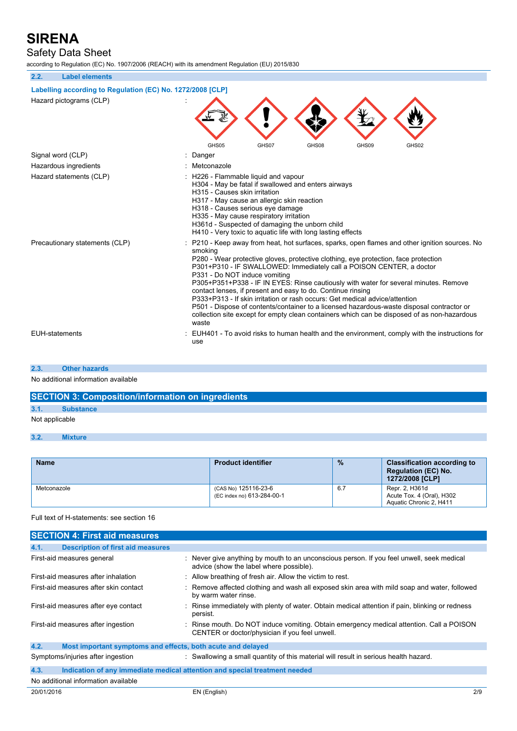## Safety Data Sheet

according to Regulation (EC) No. 1907/2006 (REACH) with its amendment Regulation (EU) 2015/830

| 2.2.                           | <b>Label elements</b>                                      |                                                                                                                                                                                                                                                                                                                                                                                                                                                                                                                                                                                                                                                                                                                                                    |
|--------------------------------|------------------------------------------------------------|----------------------------------------------------------------------------------------------------------------------------------------------------------------------------------------------------------------------------------------------------------------------------------------------------------------------------------------------------------------------------------------------------------------------------------------------------------------------------------------------------------------------------------------------------------------------------------------------------------------------------------------------------------------------------------------------------------------------------------------------------|
|                                | Labelling according to Regulation (EC) No. 1272/2008 [CLP] |                                                                                                                                                                                                                                                                                                                                                                                                                                                                                                                                                                                                                                                                                                                                                    |
|                                | Hazard pictograms (CLP)                                    | GHS05<br>GHS07<br>GHS08<br>GHS09<br>GHS02                                                                                                                                                                                                                                                                                                                                                                                                                                                                                                                                                                                                                                                                                                          |
|                                | Signal word (CLP)                                          | Danger                                                                                                                                                                                                                                                                                                                                                                                                                                                                                                                                                                                                                                                                                                                                             |
|                                | Hazardous ingredients                                      | Metconazole                                                                                                                                                                                                                                                                                                                                                                                                                                                                                                                                                                                                                                                                                                                                        |
| Hazard statements (CLP)        |                                                            | : H226 - Flammable liquid and vapour<br>H304 - May be fatal if swallowed and enters airways<br>H315 - Causes skin irritation<br>H317 - May cause an allergic skin reaction<br>H318 - Causes serious eye damage<br>H335 - May cause respiratory irritation<br>H361d - Suspected of damaging the unborn child<br>H410 - Very toxic to aquatic life with long lasting effects                                                                                                                                                                                                                                                                                                                                                                         |
| Precautionary statements (CLP) |                                                            | P210 - Keep away from heat, hot surfaces, sparks, open flames and other ignition sources. No<br>smoking<br>P280 - Wear protective gloves, protective clothing, eye protection, face protection<br>P301+P310 - IF SWALLOWED: Immediately call a POISON CENTER, a doctor<br>P331 - Do NOT induce vomiting<br>P305+P351+P338 - IF IN EYES: Rinse cautiously with water for several minutes. Remove<br>contact lenses, if present and easy to do. Continue rinsing<br>P333+P313 - If skin irritation or rash occurs: Get medical advice/attention<br>P501 - Dispose of contents/container to a licensed hazardous-waste disposal contractor or<br>collection site except for empty clean containers which can be disposed of as non-hazardous<br>waste |
| <b>EUH-statements</b>          |                                                            | EUH401 - To avoid risks to human health and the environment, comply with the instructions for<br>use                                                                                                                                                                                                                                                                                                                                                                                                                                                                                                                                                                                                                                               |

#### **2.3. Other hazards**

No additional information available

## **SECTION 3: Composition/information on ingredients**

## **3.1. Substance**

Not applicable

#### **3.2. Mixture**

| <b>Name</b> | <b>Product identifier</b>                          | $\frac{9}{6}$ | <b>Classification according to</b><br><b>Regulation (EC) No.</b><br>1272/2008 [CLP] |
|-------------|----------------------------------------------------|---------------|-------------------------------------------------------------------------------------|
| Metconazole | (CAS No) 125116-23-6<br>(EC index no) 613-284-00-1 | 6.7           | Repr. 2. H361d<br>Acute Tox. 4 (Oral), H302<br>Aquatic Chronic 2, H411              |

#### Full text of H-statements: see section 16

| <b>SECTION 4: First aid measures</b>             |                                                                                                                                            |     |
|--------------------------------------------------|--------------------------------------------------------------------------------------------------------------------------------------------|-----|
| 4.1.<br><b>Description of first aid measures</b> |                                                                                                                                            |     |
| First-aid measures general                       | : Never give anything by mouth to an unconscious person. If you feel unwell, seek medical<br>advice (show the label where possible).       |     |
| First-aid measures after inhalation              | : Allow breathing of fresh air. Allow the victim to rest.                                                                                  |     |
| First-aid measures after skin contact            | : Remove affected clothing and wash all exposed skin area with mild soap and water, followed<br>by warm water rinse.                       |     |
| First-aid measures after eye contact             | : Rinse immediately with plenty of water. Obtain medical attention if pain, blinking or redness<br>persist.                                |     |
| First-aid measures after ingestion               | : Rinse mouth. Do NOT induce vomiting. Obtain emergency medical attention. Call a POISON<br>CENTER or doctor/physician if you feel unwell. |     |
| 4.2.                                             | Most important symptoms and effects, both acute and delayed                                                                                |     |
| Symptoms/injuries after ingestion                | : Swallowing a small quantity of this material will result in serious health hazard.                                                       |     |
| 4.3.                                             | Indication of any immediate medical attention and special treatment needed                                                                 |     |
| No additional information available              |                                                                                                                                            |     |
| 20/01/2016                                       | EN (English)                                                                                                                               | 2/9 |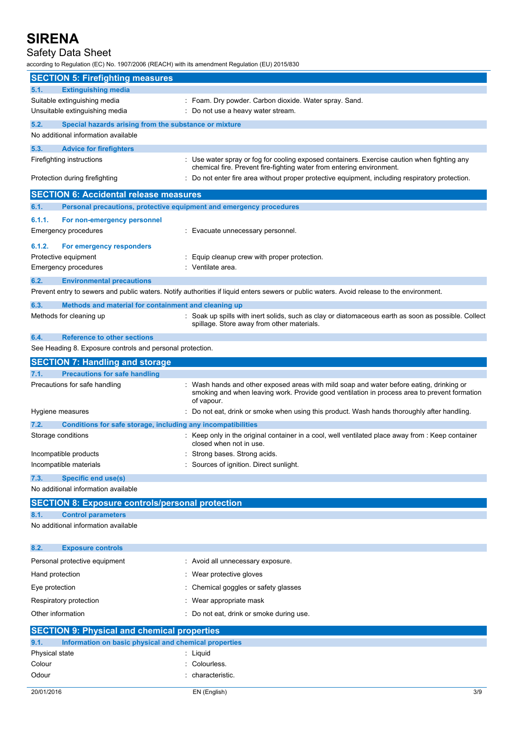## Safety Data Sheet

according to Regulation (EC) No. 1907/2006 (REACH) with its amendment Regulation (EU) 2015/830

| <b>SECTION 5: Firefighting measures</b>                                                                             |                                                                                                                                                                                                      |
|---------------------------------------------------------------------------------------------------------------------|------------------------------------------------------------------------------------------------------------------------------------------------------------------------------------------------------|
| <b>Extinguishing media</b><br>5.1.                                                                                  |                                                                                                                                                                                                      |
| Suitable extinguishing media                                                                                        | : Foam. Dry powder. Carbon dioxide. Water spray. Sand.                                                                                                                                               |
| Unsuitable extinguishing media                                                                                      | Do not use a heavy water stream.                                                                                                                                                                     |
| 5.2.<br>Special hazards arising from the substance or mixture                                                       |                                                                                                                                                                                                      |
| No additional information available                                                                                 |                                                                                                                                                                                                      |
| 5.3.<br><b>Advice for firefighters</b>                                                                              |                                                                                                                                                                                                      |
| Firefighting instructions                                                                                           | : Use water spray or fog for cooling exposed containers. Exercise caution when fighting any<br>chemical fire. Prevent fire-fighting water from entering environment.                                 |
| Protection during firefighting                                                                                      | Do not enter fire area without proper protective equipment, including respiratory protection.                                                                                                        |
| <b>SECTION 6: Accidental release measures</b>                                                                       |                                                                                                                                                                                                      |
| 6.1.                                                                                                                | Personal precautions, protective equipment and emergency procedures                                                                                                                                  |
| 6.1.1.<br>For non-emergency personnel                                                                               |                                                                                                                                                                                                      |
| Emergency procedures                                                                                                | Evacuate unnecessary personnel.                                                                                                                                                                      |
| 6.1.2.                                                                                                              |                                                                                                                                                                                                      |
| For emergency responders<br>Protective equipment                                                                    | Equip cleanup crew with proper protection.                                                                                                                                                           |
| Emergency procedures                                                                                                | Ventilate area.                                                                                                                                                                                      |
| 6.2.<br><b>Environmental precautions</b>                                                                            |                                                                                                                                                                                                      |
|                                                                                                                     | Prevent entry to sewers and public waters. Notify authorities if liquid enters sewers or public waters. Avoid release to the environment.                                                            |
| 6.3.<br>Methods and material for containment and cleaning up                                                        |                                                                                                                                                                                                      |
| Methods for cleaning up                                                                                             | Soak up spills with inert solids, such as clay or diatomaceous earth as soon as possible. Collect<br>spillage. Store away from other materials.                                                      |
| 6.4.<br><b>Reference to other sections</b>                                                                          |                                                                                                                                                                                                      |
| See Heading 8. Exposure controls and personal protection.                                                           |                                                                                                                                                                                                      |
| <b>SECTION 7: Handling and storage</b>                                                                              |                                                                                                                                                                                                      |
| <b>Precautions for safe handling</b><br>7.1.                                                                        |                                                                                                                                                                                                      |
| Precautions for safe handling                                                                                       | Wash hands and other exposed areas with mild soap and water before eating, drinking or<br>smoking and when leaving work. Provide good ventilation in process area to prevent formation<br>of vapour. |
| Hygiene measures                                                                                                    | Do not eat, drink or smoke when using this product. Wash hands thoroughly after handling.                                                                                                            |
| 7.2.<br>Conditions for safe storage, including any incompatibilities                                                |                                                                                                                                                                                                      |
| Storage conditions                                                                                                  | $\therefore$ Keep only in the original container in a cool, well ventilated place away from $\therefore$ Keep container<br>closed when not in use.                                                   |
| Incompatible products                                                                                               | Strong bases. Strong acids.                                                                                                                                                                          |
| Incompatible materials                                                                                              | Sources of ignition. Direct sunlight.                                                                                                                                                                |
| <b>Specific end use(s)</b><br>7.3.                                                                                  |                                                                                                                                                                                                      |
| No additional information available                                                                                 |                                                                                                                                                                                                      |
| <b>SECTION 8: Exposure controls/personal protection</b>                                                             |                                                                                                                                                                                                      |
| <b>Control parameters</b><br>8.1.<br>No additional information available                                            |                                                                                                                                                                                                      |
|                                                                                                                     |                                                                                                                                                                                                      |
| 8.2.<br><b>Exposure controls</b>                                                                                    |                                                                                                                                                                                                      |
| Personal protective equipment                                                                                       | : Avoid all unnecessary exposure.                                                                                                                                                                    |
| Hand protection                                                                                                     | Wear protective gloves                                                                                                                                                                               |
| Eye protection                                                                                                      | Chemical goggles or safety glasses                                                                                                                                                                   |
| Respiratory protection                                                                                              | Wear appropriate mask                                                                                                                                                                                |
| Other information                                                                                                   | Do not eat, drink or smoke during use.                                                                                                                                                               |
|                                                                                                                     |                                                                                                                                                                                                      |
| <b>SECTION 9: Physical and chemical properties</b><br>Information on basic physical and chemical properties<br>9.1. |                                                                                                                                                                                                      |
| Physical state                                                                                                      | Liquid                                                                                                                                                                                               |
| Colour                                                                                                              | Colourless.                                                                                                                                                                                          |
| Odour                                                                                                               | characteristic.                                                                                                                                                                                      |
| 20/01/2016                                                                                                          | EN (English)<br>3/9                                                                                                                                                                                  |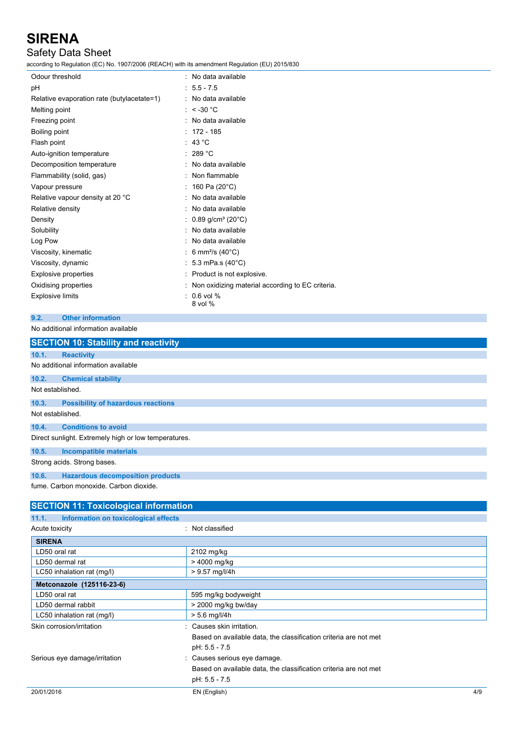## Safety Data Sheet

according to Regulation (EC) No. 1907/2006 (REACH) with its amendment Regulation (EU) 2015/830

| Odour threshold                            | : No data available                                |
|--------------------------------------------|----------------------------------------------------|
| pН                                         | $: 5.5 - 7.5$                                      |
| Relative evaporation rate (butylacetate=1) | : No data available                                |
| Melting point                              | : $< -30$ °C                                       |
| Freezing point                             | : No data available                                |
| Boiling point                              | $: 172 - 185$                                      |
| Flash point                                | : 43 $^{\circ}$ C                                  |
| Auto-ignition temperature                  | : 289 °C                                           |
| Decomposition temperature                  | : No data available                                |
| Flammability (solid, gas)                  | : Non flammable                                    |
| Vapour pressure                            | : 160 Pa (20 $^{\circ}$ C)                         |
| Relative vapour density at 20 °C           | : No data available                                |
| Relative density                           | : No data available                                |
| Density                                    | : 0.89 g/cm <sup>3</sup> (20 $^{\circ}$ C)         |
| Solubility                                 | : No data available                                |
| Log Pow                                    | : No data available                                |
| Viscosity, kinematic                       | : 6 mm <sup>2</sup> /s (40 $^{\circ}$ C)           |
| Viscosity, dynamic                         | : 5.3 mPa.s $(40^{\circ}C)$                        |
| <b>Explosive properties</b>                | : Product is not explosive.                        |
| Oxidising properties                       | : Non oxidizing material according to EC criteria. |
| Explosive limits                           | $: 0.6$ vol %<br>8 vol %                           |

### **9.2. Other information**

No additional information available

|                  | <b>SECTION 10: Stability and reactivity</b>          |
|------------------|------------------------------------------------------|
| 10.1.            | <b>Reactivity</b>                                    |
|                  | No additional information available                  |
| 10.2.            | <b>Chemical stability</b>                            |
| Not established. |                                                      |
| 10.3.            | <b>Possibility of hazardous reactions</b>            |
| Not established. |                                                      |
| 10.4.            | <b>Conditions to avoid</b>                           |
|                  | Direct sunlight. Extremely high or low temperatures. |
| 10.5.            | Incompatible materials                               |
|                  | Strong acids. Strong bases.                          |
| 10.6.            | <b>Hazardous decomposition products</b>              |
|                  | fume. Carbon monoxide. Carbon dioxide.               |

| <b>SECTION 11: Toxicological information</b>  |                                                                  |     |
|-----------------------------------------------|------------------------------------------------------------------|-----|
| Information on toxicological effects<br>11.1. |                                                                  |     |
| Acute toxicity                                | : Not classified                                                 |     |
| <b>SIRENA</b>                                 |                                                                  |     |
| LD50 oral rat                                 | 2102 mg/kg                                                       |     |
| LD50 dermal rat                               | > 4000 mg/kg                                                     |     |
| LC50 inhalation rat (mg/l)                    | $> 9.57$ mg/l/4h                                                 |     |
| Metconazole (125116-23-6)                     |                                                                  |     |
| LD50 oral rat                                 | 595 mg/kg bodyweight                                             |     |
| LD50 dermal rabbit                            | > 2000 mg/kg bw/day                                              |     |
| LC50 inhalation rat (mg/l)                    | $> 5.6$ mg/l/4h                                                  |     |
| Skin corrosion/irritation                     | : Causes skin irritation.                                        |     |
|                                               | Based on available data, the classification criteria are not met |     |
|                                               | pH: 5.5 - 7.5                                                    |     |
| Serious eye damage/irritation                 | : Causes serious eye damage.                                     |     |
|                                               | Based on available data, the classification criteria are not met |     |
|                                               | pH: 5.5 - 7.5                                                    |     |
| 20/01/2016                                    | EN (English)                                                     | 4/9 |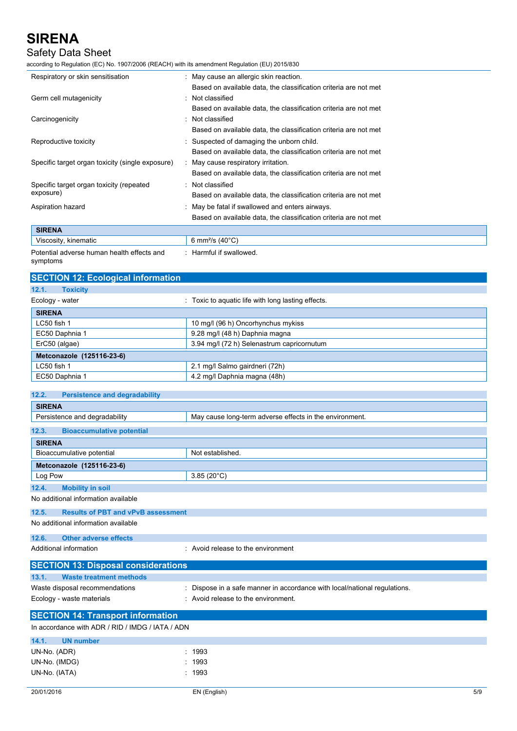## Safety Data Sheet

according to Regulation (EC) No. 1907/2006 (REACH) with its amendment Regulation (EU) 2015/830

| Respiratory or skin sensitisation                | : May cause an allergic skin reaction.                           |
|--------------------------------------------------|------------------------------------------------------------------|
|                                                  | Based on available data, the classification criteria are not met |
| Germ cell mutagenicity                           | Not classified                                                   |
|                                                  | Based on available data, the classification criteria are not met |
| Carcinogenicity                                  | Not classified                                                   |
|                                                  | Based on available data, the classification criteria are not met |
| Reproductive toxicity                            | : Suspected of damaging the unborn child.                        |
|                                                  | Based on available data, the classification criteria are not met |
| Specific target organ toxicity (single exposure) | : May cause respiratory irritation.                              |
|                                                  | Based on available data, the classification criteria are not met |
| Specific target organ toxicity (repeated         | : Not classified                                                 |
| exposure)                                        | Based on available data, the classification criteria are not met |
| Aspiration hazard                                | : May be fatal if swallowed and enters airways.                  |
|                                                  | Based on available data, the classification criteria are not met |
| <b>SIRENA</b>                                    |                                                                  |
| Viscosity, kinematic                             | 6 mm <sup>2</sup> /s $(40^{\circ}C)$                             |
|                                                  |                                                                  |

Potential adverse human health effects and symptoms : Harmful if swallowed.

| <b>SECTION 12: Ecological information</b>     |                                                    |  |  |
|-----------------------------------------------|----------------------------------------------------|--|--|
| 12.1.<br><b>Toxicity</b>                      |                                                    |  |  |
| Ecology - water                               | : Toxic to aquatic life with long lasting effects. |  |  |
| <b>SIRENA</b>                                 |                                                    |  |  |
| LC50 fish 1                                   | 10 mg/l (96 h) Oncorhynchus mykiss                 |  |  |
| EC50 Daphnia 1                                | 9.28 mg/l (48 h) Daphnia magna                     |  |  |
| ErC50 (algae)                                 | 3.94 mg/l (72 h) Selenastrum capricornutum         |  |  |
| Metconazole (125116-23-6)                     |                                                    |  |  |
| LC50 fish 1                                   | 2.1 mg/l Salmo gairdneri (72h)                     |  |  |
| EC50 Daphnia 1                                | 4.2 mg/l Daphnia magna (48h)                       |  |  |
|                                               |                                                    |  |  |
| 12.2.<br><b>Persistence and degradability</b> |                                                    |  |  |

| <b>SIRENA</b>                                      |                                                         |  |
|----------------------------------------------------|---------------------------------------------------------|--|
| Persistence and degradability                      | May cause long-term adverse effects in the environment. |  |
| 12.3.<br><b>Bioaccumulative potential</b>          |                                                         |  |
| <b>SIRENA</b>                                      |                                                         |  |
| Bioaccumulative potential                          | Not established.                                        |  |
| Metconazole (125116-23-6)                          |                                                         |  |
| Log Pow                                            | $3.85(20^{\circ}C)$                                     |  |
| 12.4.<br><b>Mobility in soil</b>                   |                                                         |  |
| No additional information available                |                                                         |  |
| 12.5.<br><b>Results of PBT and vPvB assessment</b> |                                                         |  |
|                                                    |                                                         |  |

No additional information available

**12.6. Other adverse effects**

Additional information **interest in the environment** : Avoid release to the environment

| <b>SECTION 13: Disposal considerations</b> |                                                                           |
|--------------------------------------------|---------------------------------------------------------------------------|
| 13.1. Waste treatment methods              |                                                                           |
| Waste disposal recommendations             | : Dispose in a safe manner in accordance with local/national regulations. |
| Ecology - waste materials                  | : Avoid release to the environment.                                       |
| <b>SECTION 14: Transport information</b>   |                                                                           |

In accordance with ADR / RID / IMDG / IATA / ADN **14.1. UN number** UN-No. (ADR) : 1993 UN-No. (IMDG) : 1993 UN-No. (IATA) : 1993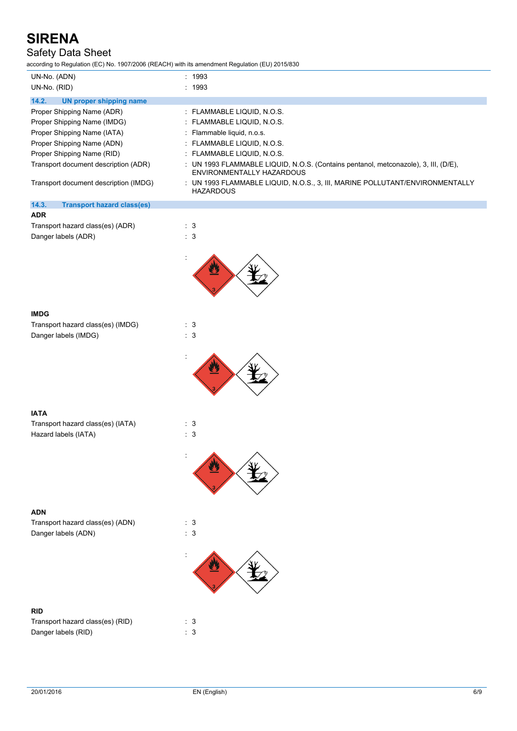## Safety Data Sheet

according to Regulation (EC) No. 1907/2006 (REACH) with its amendment Regulation (EU) 2015/830

| UN-No. (ADN)                               | : 1993                                                                                                           |
|--------------------------------------------|------------------------------------------------------------------------------------------------------------------|
| UN-No. (RID)                               | : 1993                                                                                                           |
| 14.2.<br>UN proper shipping name           |                                                                                                                  |
| Proper Shipping Name (ADR)                 | : FLAMMABLE LIQUID, N.O.S.                                                                                       |
| Proper Shipping Name (IMDG)                | : FLAMMABLE LIQUID, N.O.S.                                                                                       |
| Proper Shipping Name (IATA)                | : Flammable liquid, n.o.s.                                                                                       |
| Proper Shipping Name (ADN)                 | : FLAMMABLE LIQUID, N.O.S.                                                                                       |
| Proper Shipping Name (RID)                 | $\therefore$ FLAMMABLE LIQUID, N.O.S.                                                                            |
| Transport document description (ADR)       | : UN 1993 FLAMMABLE LIQUID, N.O.S. (Contains pentanol, metconazole), 3, III, (D/E),<br>ENVIRONMENTALLY HAZARDOUS |
| Transport document description (IMDG)      | : UN 1993 FLAMMABLE LIQUID, N.O.S., 3, III, MARINE POLLUTANT/ENVIRONMENTALLY<br><b>HAZARDOUS</b>                 |
| 14.3.<br><b>Transport hazard class(es)</b> |                                                                                                                  |

| <b>ADR</b>                       |  |     |
|----------------------------------|--|-----|
| Transport hazard class(es) (ADR) |  | - 3 |
| $\sim$<br>.                      |  |     |

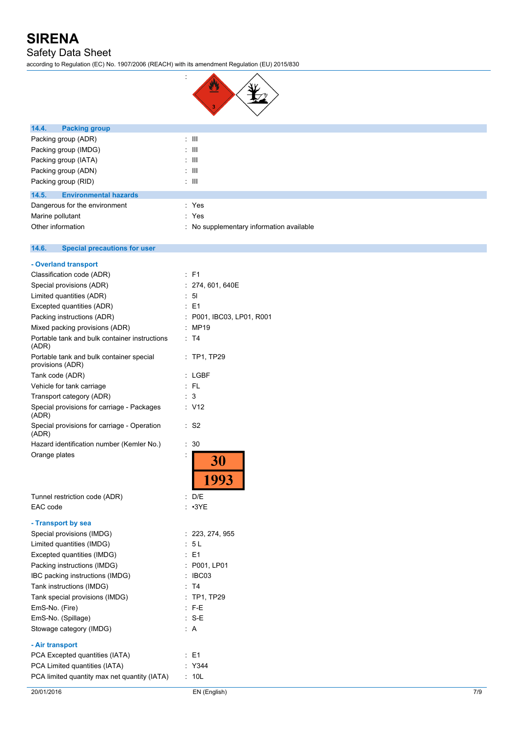Safety Data Sheet

according to Regulation (EC) No. 1907/2006 (REACH) with its amendment Regulation (EU) 2015/830

:



| 14.4.<br><b>Packing group</b>                                |                                          |
|--------------------------------------------------------------|------------------------------------------|
| Packing group (ADR)                                          | $\lesssim 10$                            |
| Packing group (IMDG)                                         | $\pm$ 111                                |
| Packing group (IATA)                                         | $\pm$ 111                                |
| Packing group (ADN)                                          | $\pm$ 111                                |
| Packing group (RID)                                          | $\pm$ 111                                |
| 14.5.<br><b>Environmental hazards</b>                        |                                          |
| Dangerous for the environment                                | : Yes                                    |
| Marine pollutant                                             | : Yes                                    |
| Other information                                            | : No supplementary information available |
|                                                              |                                          |
| 14.6.<br><b>Special precautions for user</b>                 |                                          |
| - Overland transport                                         |                                          |
| Classification code (ADR)                                    | $:$ F1                                   |
| Special provisions (ADR)                                     | : 274, 601, 640E                         |
| Limited quantities (ADR)                                     | $\therefore$ 51                          |
| Excepted quantities (ADR)                                    | $\therefore$ E1                          |
| Packing instructions (ADR)                                   | P001, IBC03, LP01, R001                  |
| Mixed packing provisions (ADR)                               | : MP19                                   |
| Portable tank and bulk container instructions<br>(ADR)       | : T4                                     |
| Portable tank and bulk container special<br>provisions (ADR) | $:$ TP1, TP29                            |
| Tank code (ADR)                                              | : LGBF                                   |
| Vehicle for tank carriage                                    | :FL                                      |
| Transport category (ADR)                                     | : 3                                      |
| Special provisions for carriage - Packages<br>(ADR)          | : V12                                    |
| Special provisions for carriage - Operation<br>(ADR)         | $:$ S <sub>2</sub>                       |
| Hazard identification number (Kemler No.)                    | : 30                                     |
| Orange plates                                                | İ<br>30<br>1993                          |
| Tunnel restriction code (ADR)                                | D/E                                      |
| EAC code                                                     | $: \cdot 3YE$                            |
| - Transport by sea                                           |                                          |
| Special provisions (IMDG)                                    | : 223, 274, 955                          |
| Limited quantities (IMDG)                                    | : 5L                                     |
| Excepted quantities (IMDG)                                   | : E1                                     |
| Packing instructions (IMDG)                                  | : P001, LP01                             |
| IBC packing instructions (IMDG)                              | : IBC03                                  |
| Tank instructions (IMDG)                                     | : T4                                     |
| Tank special provisions (IMDG)                               | : TP1, TP29                              |
| EmS-No. (Fire)                                               | $:$ F-E                                  |
| EmS-No. (Spillage)                                           | $: S-E$                                  |
| Stowage category (IMDG)                                      | : A                                      |
|                                                              |                                          |
| - Air transport                                              |                                          |
| PCA Excepted quantities (IATA)                               | : E1                                     |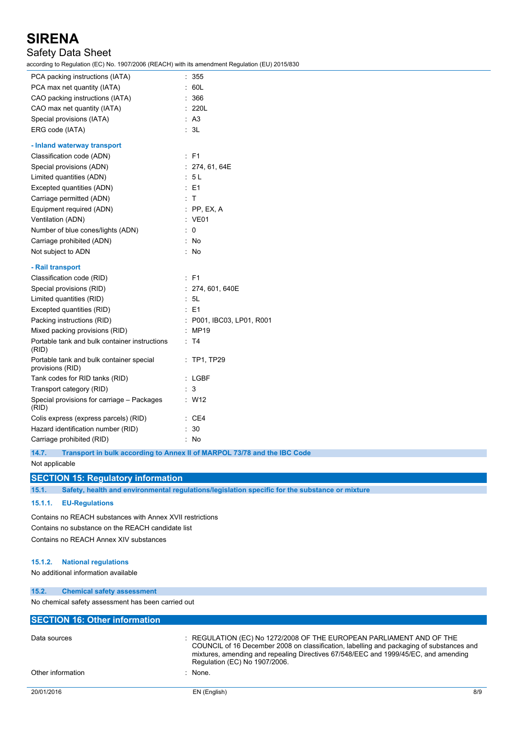### Safety Data Sheet

according to Regulation (EC) No. 1907/2006 (REACH) with its amendment Regulation (EU) 2015/830

| coording to regulation (EO) No. ToonZooo (KE/TOH) with its amendment regulation (EO) Zo Foroco |                           |
|------------------------------------------------------------------------------------------------|---------------------------|
| PCA packing instructions (IATA)                                                                | : 355                     |
| PCA max net quantity (IATA)                                                                    | : 60L                     |
| CAO packing instructions (IATA)                                                                | : 366                     |
| CAO max net quantity (IATA)                                                                    | : 220L                    |
| Special provisions (IATA)                                                                      | : A3                      |
| ERG code (IATA)                                                                                | : 3L                      |
| - Inland waterway transport                                                                    |                           |
| Classification code (ADN)                                                                      | : F1                      |
| Special provisions (ADN)                                                                       | : 274, 61, 64E            |
| Limited quantities (ADN)                                                                       | : 5L                      |
| Excepted quantities (ADN)                                                                      | $\therefore$ E1           |
| Carriage permitted (ADN)                                                                       | : T                       |
| Equipment required (ADN)                                                                       | $:$ PP, EX, A             |
| Ventilation (ADN)                                                                              | : VE01                    |
| Number of blue cones/lights (ADN)                                                              | $\therefore$ 0            |
| Carriage prohibited (ADN)                                                                      | : No                      |
| Not subject to ADN                                                                             | : No                      |
| - Rail transport                                                                               |                           |
| Classification code (RID)                                                                      | $E$ F1                    |
| Special provisions (RID)                                                                       | : 274, 601, 640E          |
| Limited quantities (RID)                                                                       | : 5L                      |
| Excepted quantities (RID)                                                                      | $\therefore$ E1           |
| Packing instructions (RID)                                                                     | : P001, IBC03, LP01, R001 |
| Mixed packing provisions (RID)                                                                 | : MP19                    |
| Portable tank and bulk container instructions<br>(RID)                                         | : T4                      |
| Portable tank and bulk container special<br>provisions (RID)                                   | : TP1, TP29               |
| Tank codes for RID tanks (RID)                                                                 | : LGBF                    |
| Transport category (RID)                                                                       | : 3                       |
| Special provisions for carriage - Packages<br>(RID)                                            | : W12                     |
| Colis express (express parcels) (RID)                                                          | $\therefore$ CE4          |
| Hazard identification number (RID)                                                             | $\therefore$ 30           |
| Carriage prohibited (RID)                                                                      | : No                      |
|                                                                                                |                           |

**14.7. Transport in bulk according to Annex II of MARPOL 73/78 and the IBC Code**

Not applicable

### **SECTION 15: Regulatory information**

**15.1. Safety, health and environmental regulations/legislation specific for the substance or mixture**

#### **15.1.1. EU-Regulations**

Contains no REACH substances with Annex XVII restrictions Contains no substance on the REACH candidate list Contains no REACH Annex XIV substances

#### **15.1.2. National regulations**

No additional information available

#### **15.2. Chemical safety assessment**

No chemical safety assessment has been carried out

| <b>SECTION 16: Other information</b> |                                                                                                                                                                                                                                                                                          |     |
|--------------------------------------|------------------------------------------------------------------------------------------------------------------------------------------------------------------------------------------------------------------------------------------------------------------------------------------|-----|
| Data sources                         | : REGULATION (EC) No 1272/2008 OF THE EUROPEAN PARLIAMENT AND OF THE<br>COUNCIL of 16 December 2008 on classification, labelling and packaging of substances and<br>mixtures, amending and repealing Directives 67/548/EEC and 1999/45/EC, and amending<br>Regulation (EC) No 1907/2006. |     |
| Other information                    | : None.                                                                                                                                                                                                                                                                                  |     |
| 20/01/2016                           | EN (English)                                                                                                                                                                                                                                                                             | 8/9 |